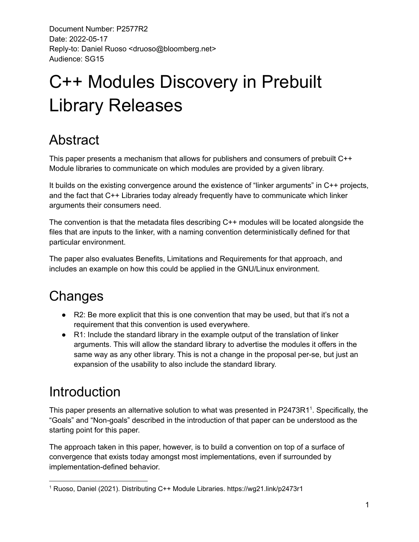# C++ Modules Discovery in Prebuilt Library Releases

# Abstract

This paper presents a mechanism that allows for publishers and consumers of prebuilt C++ Module libraries to communicate on which modules are provided by a given library.

It builds on the existing convergence around the existence of "linker arguments" in C++ projects, and the fact that C++ Libraries today already frequently have to communicate which linker arguments their consumers need.

The convention is that the metadata files describing C++ modules will be located alongside the files that are inputs to the linker, with a naming convention deterministically defined for that particular environment.

The paper also evaluates Benefits, Limitations and Requirements for that approach, and includes an example on how this could be applied in the GNU/Linux environment.

# **Changes**

- $\bullet$  R2: Be more explicit that this is one convention that may be used, but that it's not a requirement that this convention is used everywhere.
- R1: Include the standard library in the example output of the translation of linker arguments. This will allow the standard library to advertise the modules it offers in the same way as any other library. This is not a change in the proposal per-se, but just an expansion of the usability to also include the standard library.

# Introduction

This paper presents an alternative solution to what was presented in P2473R1<sup>1</sup>. Specifically, the "Goals" and "Non-goals" described in the introduction of that paper can be understood as the starting point for this paper.

The approach taken in this paper, however, is to build a convention on top of a surface of convergence that exists today amongst most implementations, even if surrounded by implementation-defined behavior.

<sup>1</sup> Ruoso, Daniel (2021). Distributing C++ Module Libraries. https://wg21.link/p2473r1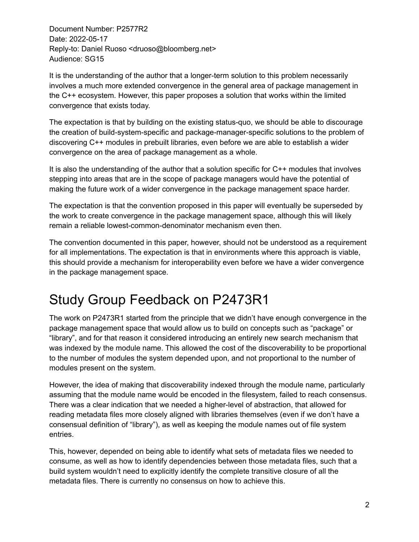It is the understanding of the author that a longer-term solution to this problem necessarily involves a much more extended convergence in the general area of package management in the C++ ecosystem. However, this paper proposes a solution that works within the limited convergence that exists today.

The expectation is that by building on the existing status-quo, we should be able to discourage the creation of build-system-specific and package-manager-specific solutions to the problem of discovering C++ modules in prebuilt libraries, even before we are able to establish a wider convergence on the area of package management as a whole.

It is also the understanding of the author that a solution specific for C++ modules that involves stepping into areas that are in the scope of package managers would have the potential of making the future work of a wider convergence in the package management space harder.

The expectation is that the convention proposed in this paper will eventually be superseded by the work to create convergence in the package management space, although this will likely remain a reliable lowest-common-denominator mechanism even then.

The convention documented in this paper, however, should not be understood as a requirement for all implementations. The expectation is that in environments where this approach is viable, this should provide a mechanism for interoperability even before we have a wider convergence in the package management space.

# Study Group Feedback on P2473R1

The work on P2473R1 started from the principle that we didn't have enough convergence in the package management space that would allow us to build on concepts such as "package" or "library", and for that reason it considered introducing an entirely new search mechanism that was indexed by the module name. This allowed the cost of the discoverability to be proportional to the number of modules the system depended upon, and not proportional to the number of modules present on the system.

However, the idea of making that discoverability indexed through the module name, particularly assuming that the module name would be encoded in the filesystem, failed to reach consensus. There was a clear indication that we needed a higher-level of abstraction, that allowed for reading metadata files more closely aligned with libraries themselves (even if we don't have a consensual definition of "library"), as well as keeping the module names out of file system entries.

This, however, depended on being able to identify what sets of metadata files we needed to consume, as well as how to identify dependencies between those metadata files, such that a build system wouldn't need to explicitly identify the complete transitive closure of all the metadata files. There is currently no consensus on how to achieve this.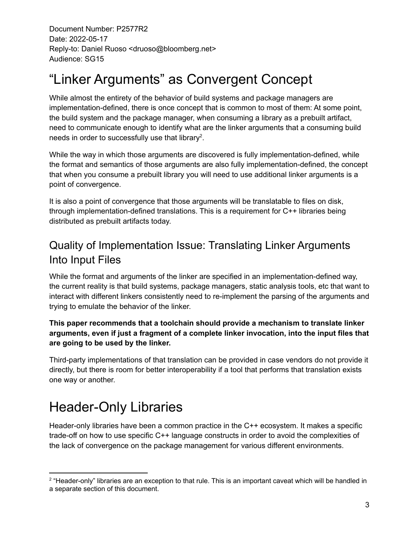# "Linker Arguments" as Convergent Concept

While almost the entirety of the behavior of build systems and package managers are implementation-defined, there is once concept that is common to most of them: At some point, the build system and the package manager, when consuming a library as a prebuilt artifact, need to communicate enough to identify what are the linker arguments that a consuming build needs in order to successfully use that library<sup>2</sup>.

While the way in which those arguments are discovered is fully implementation-defined, while the format and semantics of those arguments are also fully implementation-defined, the concept that when you consume a prebuilt library you will need to use additional linker arguments is a point of convergence.

It is also a point of convergence that those arguments will be translatable to files on disk, through implementation-defined translations. This is a requirement for C++ libraries being distributed as prebuilt artifacts today.

### Quality of Implementation Issue: Translating Linker Arguments Into Input Files

While the format and arguments of the linker are specified in an implementation-defined way, the current reality is that build systems, package managers, static analysis tools, etc that want to interact with different linkers consistently need to re-implement the parsing of the arguments and trying to emulate the behavior of the linker.

#### **This paper recommends that a toolchain should provide a mechanism to translate linker arguments, even if just a fragment of a complete linker invocation, into the input files that are going to be used by the linker.**

Third-party implementations of that translation can be provided in case vendors do not provide it directly, but there is room for better interoperability if a tool that performs that translation exists one way or another.

# Header-Only Libraries

Header-only libraries have been a common practice in the C++ ecosystem. It makes a specific trade-off on how to use specific C++ language constructs in order to avoid the complexities of the lack of convergence on the package management for various different environments.

<sup>&</sup>lt;sup>2</sup> "Header-only" libraries are an exception to that rule. This is an important caveat which will be handled in a separate section of this document.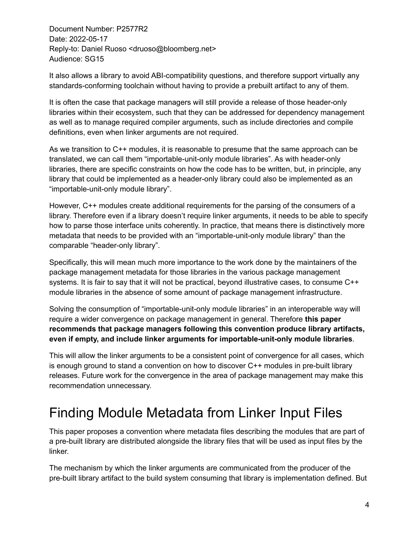It also allows a library to avoid ABI-compatibility questions, and therefore support virtually any standards-conforming toolchain without having to provide a prebuilt artifact to any of them.

It is often the case that package managers will still provide a release of those header-only libraries within their ecosystem, such that they can be addressed for dependency management as well as to manage required compiler arguments, such as include directories and compile definitions, even when linker arguments are not required.

As we transition to C++ modules, it is reasonable to presume that the same approach can be translated, we can call them "importable-unit-only module libraries". As with header-only libraries, there are specific constraints on how the code has to be written, but, in principle, any library that could be implemented as a header-only library could also be implemented as an "importable-unit-only module library".

However, C++ modules create additional requirements for the parsing of the consumers of a library. Therefore even if a library doesn't require linker arguments, it needs to be able to specify how to parse those interface units coherently. In practice, that means there is distinctively more metadata that needs to be provided with an "importable-unit-only module library" than the comparable "header-only library".

Specifically, this will mean much more importance to the work done by the maintainers of the package management metadata for those libraries in the various package management systems. It is fair to say that it will not be practical, beyond illustrative cases, to consume C++ module libraries in the absence of some amount of package management infrastructure.

Solving the consumption of "importable-unit-only module libraries" in an interoperable way will require a wider convergence on package management in general. Therefore **this paper recommends that package managers following this convention produce library artifacts, even if empty, and include linker arguments for importable-unit-only module libraries**.

This will allow the linker arguments to be a consistent point of convergence for all cases, which is enough ground to stand a convention on how to discover C++ modules in pre-built library releases. Future work for the convergence in the area of package management may make this recommendation unnecessary.

# Finding Module Metadata from Linker Input Files

This paper proposes a convention where metadata files describing the modules that are part of a pre-built library are distributed alongside the library files that will be used as input files by the linker.

The mechanism by which the linker arguments are communicated from the producer of the pre-built library artifact to the build system consuming that library is implementation defined. But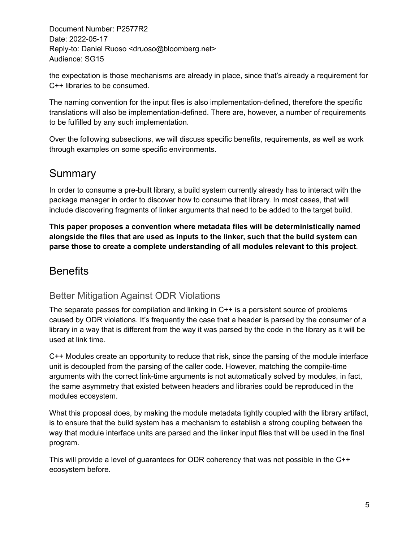the expectation is those mechanisms are already in place, since that's already a requirement for C++ libraries to be consumed.

The naming convention for the input files is also implementation-defined, therefore the specific translations will also be implementation-defined. There are, however, a number of requirements to be fulfilled by any such implementation.

Over the following subsections, we will discuss specific benefits, requirements, as well as work through examples on some specific environments.

### **Summary**

In order to consume a pre-built library, a build system currently already has to interact with the package manager in order to discover how to consume that library. In most cases, that will include discovering fragments of linker arguments that need to be added to the target build.

**This paper proposes a convention where metadata files will be deterministically named alongside the files that are used as inputs to the linker, such that the build system can parse those to create a complete understanding of all modules relevant to this project**.

### **Benefits**

#### Better Mitigation Against ODR Violations

The separate passes for compilation and linking in C++ is a persistent source of problems caused by ODR violations. It's frequently the case that a header is parsed by the consumer of a library in a way that is different from the way it was parsed by the code in the library as it will be used at link time.

C++ Modules create an opportunity to reduce that risk, since the parsing of the module interface unit is decoupled from the parsing of the caller code. However, matching the compile-time arguments with the correct link-time arguments is not automatically solved by modules, in fact, the same asymmetry that existed between headers and libraries could be reproduced in the modules ecosystem.

What this proposal does, by making the module metadata tightly coupled with the library artifact, is to ensure that the build system has a mechanism to establish a strong coupling between the way that module interface units are parsed and the linker input files that will be used in the final program.

This will provide a level of guarantees for ODR coherency that was not possible in the C++ ecosystem before.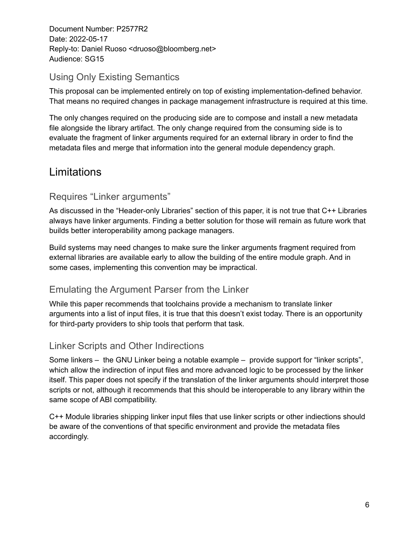#### Using Only Existing Semantics

This proposal can be implemented entirely on top of existing implementation-defined behavior. That means no required changes in package management infrastructure is required at this time.

The only changes required on the producing side are to compose and install a new metadata file alongside the library artifact. The only change required from the consuming side is to evaluate the fragment of linker arguments required for an external library in order to find the metadata files and merge that information into the general module dependency graph.

### **Limitations**

#### Requires "Linker arguments"

As discussed in the "Header-only Libraries" section of this paper, it is not true that C++ Libraries always have linker arguments. Finding a better solution for those will remain as future work that builds better interoperability among package managers.

Build systems may need changes to make sure the linker arguments fragment required from external libraries are available early to allow the building of the entire module graph. And in some cases, implementing this convention may be impractical.

#### Emulating the Argument Parser from the Linker

While this paper recommends that toolchains provide a mechanism to translate linker arguments into a list of input files, it is true that this doesn't exist today. There is an opportunity for third-party providers to ship tools that perform that task.

#### Linker Scripts and Other Indirections

Some linkers – the GNU Linker being a notable example – provide support for "linker scripts", which allow the indirection of input files and more advanced logic to be processed by the linker itself. This paper does not specify if the translation of the linker arguments should interpret those scripts or not, although it recommends that this should be interoperable to any library within the same scope of ABI compatibility.

C++ Module libraries shipping linker input files that use linker scripts or other indiections should be aware of the conventions of that specific environment and provide the metadata files accordingly.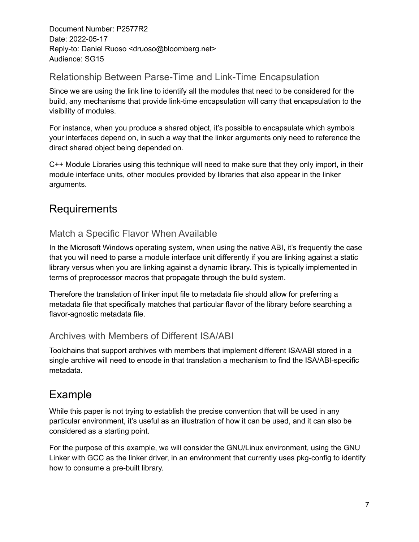#### Relationship Between Parse-Time and Link-Time Encapsulation

Since we are using the link line to identify all the modules that need to be considered for the build, any mechanisms that provide link-time encapsulation will carry that encapsulation to the visibility of modules.

For instance, when you produce a shared object, it's possible to encapsulate which symbols your interfaces depend on, in such a way that the linker arguments only need to reference the direct shared object being depended on.

C++ Module Libraries using this technique will need to make sure that they only import, in their module interface units, other modules provided by libraries that also appear in the linker arguments.

### Requirements

#### Match a Specific Flavor When Available

In the Microsoft Windows operating system, when using the native ABI, it's frequently the case that you will need to parse a module interface unit differently if you are linking against a static library versus when you are linking against a dynamic library. This is typically implemented in terms of preprocessor macros that propagate through the build system.

Therefore the translation of linker input file to metadata file should allow for preferring a metadata file that specifically matches that particular flavor of the library before searching a flavor-agnostic metadata file.

#### Archives with Members of Different ISA/ABI

Toolchains that support archives with members that implement different ISA/ABI stored in a single archive will need to encode in that translation a mechanism to find the ISA/ABI-specific metadata.

### Example

While this paper is not trying to establish the precise convention that will be used in any particular environment, it's useful as an illustration of how it can be used, and it can also be considered as a starting point.

For the purpose of this example, we will consider the GNU/Linux environment, using the GNU Linker with GCC as the linker driver, in an environment that currently uses pkg-config to identify how to consume a pre-built library.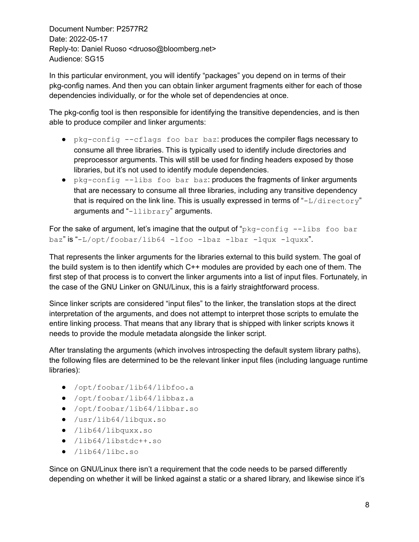In this particular environment, you will identify "packages" you depend on in terms of their pkg-config names. And then you can obtain linker argument fragments either for each of those dependencies individually, or for the whole set of dependencies at once.

The pkg-config tool is then responsible for identifying the transitive dependencies, and is then able to produce compiler and linker arguments:

- pkg-config --cflags foo bar baz: produces the compiler flags necessary to consume all three libraries. This is typically used to identify include directories and preprocessor arguments. This will still be used for finding headers exposed by those libraries, but it's not used to identify module dependencies.
- pkg-config --libs foo bar baz: produces the fragments of linker arguments that are necessary to consume all three libraries, including any transitive dependency that is required on the link line. This is usually expressed in terms of " $-L/directory"$ arguments and "-llibrary" arguments.

For the sake of argument, let's imagine that the output of "pkg-config --libs foo bar baz" is "-L/opt/foobar/lib64 -lfoo -lbaz -lbar -lqux -lquxx".

That represents the linker arguments for the libraries external to this build system. The goal of the build system is to then identify which C++ modules are provided by each one of them. The first step of that process is to convert the linker arguments into a list of input files. Fortunately, in the case of the GNU Linker on GNU/Linux, this is a fairly straightforward process.

Since linker scripts are considered "input files" to the linker, the translation stops at the direct interpretation of the arguments, and does not attempt to interpret those scripts to emulate the entire linking process. That means that any library that is shipped with linker scripts knows it needs to provide the module metadata alongside the linker script.

After translating the arguments (which involves introspecting the default system library paths), the following files are determined to be the relevant linker input files (including language runtime libraries):

- /opt/foobar/lib64/libfoo.a
- /opt/foobar/lib64/libbaz.a
- /opt/foobar/lib64/libbar.so
- /usr/lib64/libqux.so
- /lib64/libquxx.so
- /lib64/libstdc++.so
- /lib64/libc.so

Since on GNU/Linux there isn't a requirement that the code needs to be parsed differently depending on whether it will be linked against a static or a shared library, and likewise since it's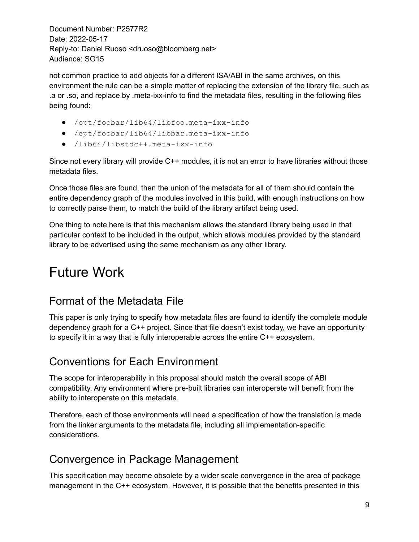not common practice to add objects for a different ISA/ABI in the same archives, on this environment the rule can be a simple matter of replacing the extension of the library file, such as .a or .so, and replace by .meta-ixx-info to find the metadata files, resulting in the following files being found:

- /opt/foobar/lib64/libfoo.meta-ixx-info
- /opt/foobar/lib64/libbar.meta-ixx-info
- /lib64/libstdc++.meta-ixx-info

Since not every library will provide C++ modules, it is not an error to have libraries without those metadata files.

Once those files are found, then the union of the metadata for all of them should contain the entire dependency graph of the modules involved in this build, with enough instructions on how to correctly parse them, to match the build of the library artifact being used.

One thing to note here is that this mechanism allows the standard library being used in that particular context to be included in the output, which allows modules provided by the standard library to be advertised using the same mechanism as any other library.

# Future Work

### Format of the Metadata File

This paper is only trying to specify how metadata files are found to identify the complete module dependency graph for a C++ project. Since that file doesn't exist today, we have an opportunity to specify it in a way that is fully interoperable across the entire C++ ecosystem.

### Conventions for Each Environment

The scope for interoperability in this proposal should match the overall scope of ABI compatibility. Any environment where pre-built libraries can interoperate will benefit from the ability to interoperate on this metadata.

Therefore, each of those environments will need a specification of how the translation is made from the linker arguments to the metadata file, including all implementation-specific considerations.

### Convergence in Package Management

This specification may become obsolete by a wider scale convergence in the area of package management in the C++ ecosystem. However, it is possible that the benefits presented in this